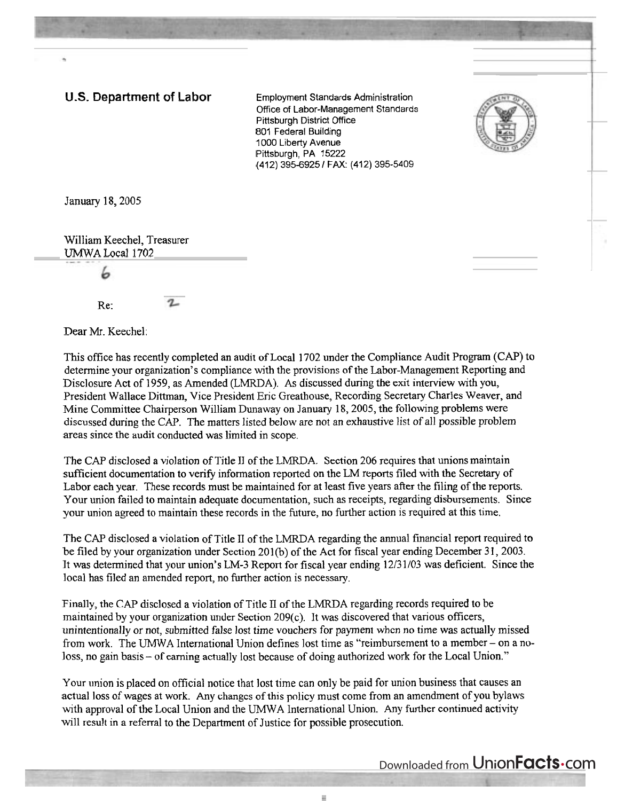## **U.S. Department of Labor** Employment Standards Administration

Office of Labor-Management Standards Pittsburgh District Office 801 Federal Building 1000 Liberty Avenue Pittsburgh, PA 15222 (412) 395-6925 / FAX: (412) 395-5409



January 18,2005

William Keechel, Treasurer UMWA Local 1702

Ь

Re:

Dear Mr. Keechel:

This office has recently completed an audit of Local 1702 under the Compliance Audit Program (CAP) to determine your organization's compliance with the provisions of the Labor-Management Reporting and Disclosure Act of 1959, as Amended (LMRDA). **As** discussed during the exit interview with you, President Wallace Dittman, Vice President Eric Greathouse, Recording Secretary Charles Weaver, and Mine Committee Chairperson William Dunaway on January 18,2005, the following problems were discussed during the CAP. The matters listed below are not an exhaustive list of all possible problem areas since the audit conducted was limited in scope.

The CAP disclosed a violation of Title I1 of the LMRDA. Section 206 requires that unions maintain sufficient documentation to verify information reported on the LM reports filed with the Secretary of Labor each year. These records must be maintained for at least five years after the filing of the reports. Your union failed to maintain adequate documentation, such as receipts, regarding disbursements. Since your union agreed to maintain these records in the future, no further action is required at this time.

The CAP disclosed a violation of Title II of the LMRDA regarding the annual financial report required to be filed by your organization under Section 201(b) of the Act for fiscal year ending December 31, 2003. It was determined that your union's LM-3 Report for fiscal year ending 12/31/03 was deficient. Since the local has filed an amended report, no further action is necessary.

Finally, the CAP disclosed a violation of Title **Il** of the LMRDA regarding records required to be maintained by your organization under Section 209(c). It was discovered that various officers, unintentionally or not, submitted false lost time vouchers for payment when no time was actually missed from work. The UMWA International Union defines lost time as "reimbursement to a member – on a noloss, no gain basis – of earning actually lost because of doing authorized work for the Local Union."

Your union is placed on official notice that lost time can only be paid for union business that causes an actual loss of wages at work. Any changes of this policy must come from an amendment of you bylaws with approval of the Local Union and the UMWA International Union. Any further continued activity will result in a referral to the Department of Justice for possible prosecution.

## Downloaded from UnionFacts.com